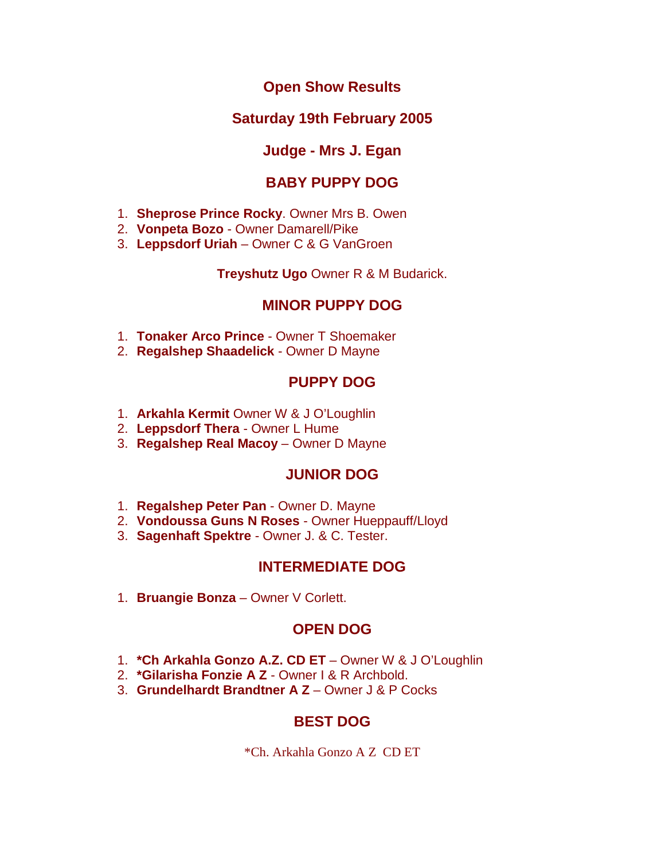### **Open Show Results**

### **Saturday 19th February 2005**

### **Judge - Mrs J. Egan**

## **BABY PUPPY DOG**

- 1. **Sheprose Prince Rocky**. Owner Mrs B. Owen
- 2. **Vonpeta Bozo** Owner Damarell/Pike
- 3. **Leppsdorf Uriah** Owner C & G VanGroen

#### **Treyshutz Ugo** Owner R & M Budarick.

### **MINOR PUPPY DOG**

- 1. **Tonaker Arco Prince** Owner T Shoemaker
- 2. **Regalshep Shaadelick** Owner D Mayne

### **PUPPY DOG**

- 1. **Arkahla Kermit** Owner W & J O'Loughlin
- 2. **Leppsdorf Thera**  Owner L Hume
- 3. **Regalshep Real Macoy**  Owner D Mayne

### **JUNIOR DOG**

- 1. **Regalshep Peter Pan** Owner D. Mayne
- 2. **Vondoussa Guns N Roses** Owner Hueppauff/Lloyd
- 3. **Sagenhaft Spektre** Owner J. & C. Tester.

### **INTERMEDIATE DOG**

1. **Bruangie Bonza** – Owner V Corlett.

# **OPEN DOG**

- 1. \* Ch Arkahla Gonzo A.Z. CD ET Owner W & J O'Loughlin
- 2. **\*Gilarisha Fonzie A Z**  Owner I & R Archbold.
- 3. **Grundelhardt Brandtner A Z**  Owner J & P Cocks

# **BEST DOG**

\*Ch. Arkahla Gonzo A Z CD ET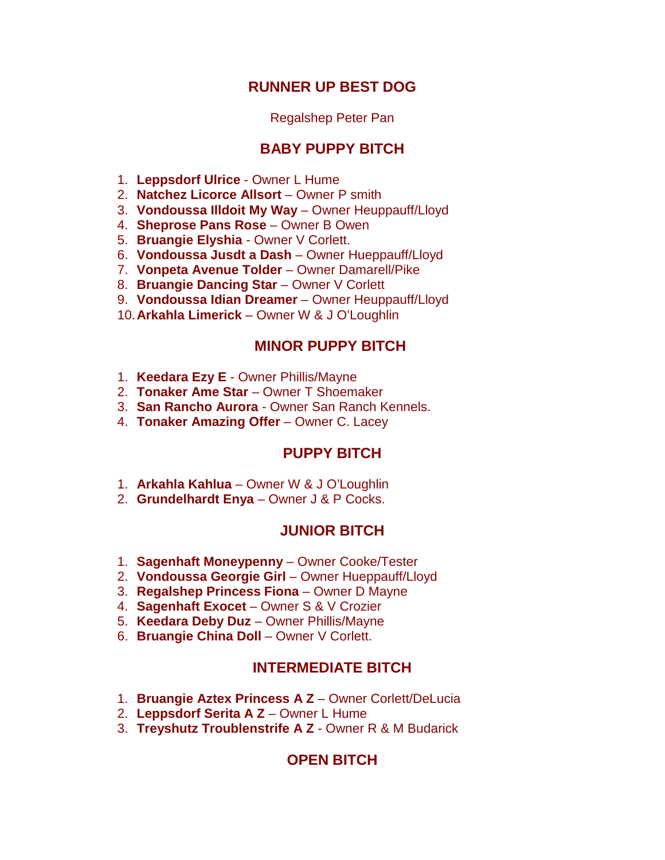### **RUNNER UP BEST DOG**

#### Regalshep Peter Pan

### **BABY PUPPY BITCH**

- 1. **Leppsdorf Ulrice**  Owner L Hume
- 2. **Natchez Licorce Allsort** Owner P smith
- 3. **Vondoussa Illdoit My Way** Owner Heuppauff/Lloyd
- 4. **Sheprose Pans Rose** Owner B Owen
- 5. **Bruangie Elyshia** Owner V Corlett.
- 6. **Vondoussa Jusdt a Dash** Owner Hueppauff/Lloyd
- 7. **Vonpeta Avenue Tolder** Owner Damarell/Pike
- 8. **Bruangie Dancing Star** Owner V Corlett
- 9. **Vondoussa Idian Dreamer** Owner Heuppauff/Lloyd
- 10.**Arkahla Limerick**  Owner W & J O'Loughlin

#### **MINOR PUPPY BITCH**

- 1. **Keedara Ezy E** Owner Phillis/Mayne
- 2. **Tonaker Ame Star** Owner T Shoemaker
- 3. **San Rancho Aurora** Owner San Ranch Kennels.
- 4. **Tonaker Amazing Offer** Owner C. Lacey

### **PUPPY BITCH**

- 1. **Arkahla Kahlua** Owner W & J O'Loughlin
- 2. **Grundelhardt Enya** Owner J & P Cocks.

#### **JUNIOR BITCH**

- 1. **Sagenhaft Moneypenny**  Owner Cooke/Tester
- 2. **Vondoussa Georgie Girl**  Owner Hueppauff/Lloyd
- 3. **Regalshep Princess Fiona**  Owner D Mayne
- 4. **Sagenhaft Exocet**  Owner S & V Crozier
- 5. **Keedara Deby Duz**  Owner Phillis/Mayne
- 6. **Bruangie China Doll**  Owner V Corlett.

### **INTERMEDIATE BITCH**

- 1. **Bruangie Aztex Princess A Z**  Owner Corlett/DeLucia
- 2. **Leppsdorf Serita A Z**  Owner L Hume
- 3. **Treyshutz Troublenstrife A Z**  Owner R & M Budarick

### **OPEN BITCH**